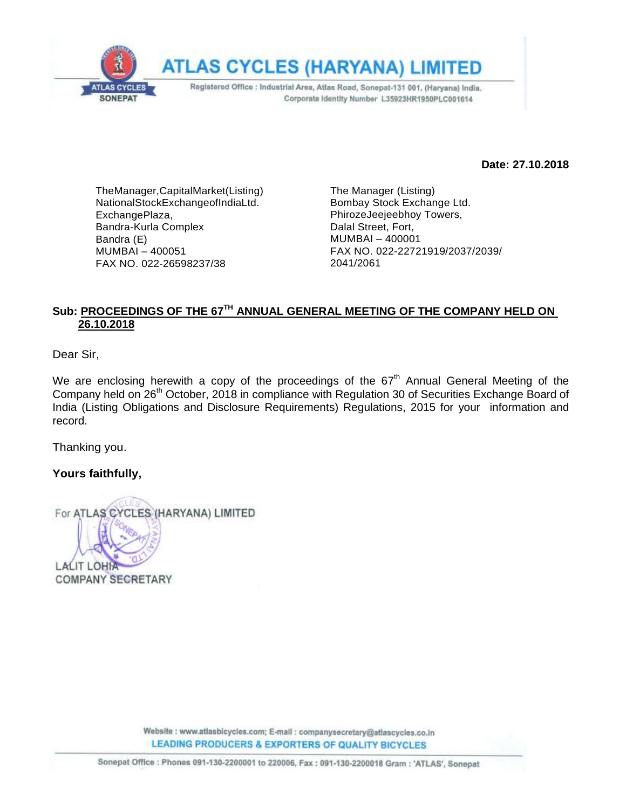

**Date: 27.10.2018**

TheManager,CapitalMarket(Listing) NationalStockExchangeofIndiaLtd. ExchangePlaza, Bandra-Kurla Complex Bandra (E) MUMBAI – 400051 FAX NO. 022-26598237/38

The Manager (Listing) Bombay Stock Exchange Ltd. PhirozeJeejeebhoy Towers, Dalal Street, Fort, MUMBAI – 400001 FAX NO. 022-22721919/2037/2039/ 2041/2061

### $\boldsymbol{\mathsf{S}}$ ub: <u>PROCEEDINGS OF THE 67<sup>TH</sup> ANNUAL GENERAL MEETING OF THE COMPANY HELD ON</u> **26.10.2018**

Dear Sir,

We are enclosing herewith a copy of the proceedings of the  $67<sup>th</sup>$  Annual General Meeting of the Company held on 26<sup>th</sup> October, 2018 in compliance with Regulation 30 of Securities Exchange Board of India (Listing Obligations and Disclosure Requirements) Regulations, 2015 for your information and record.

Thanking you.

#### **Yours faithfully,**

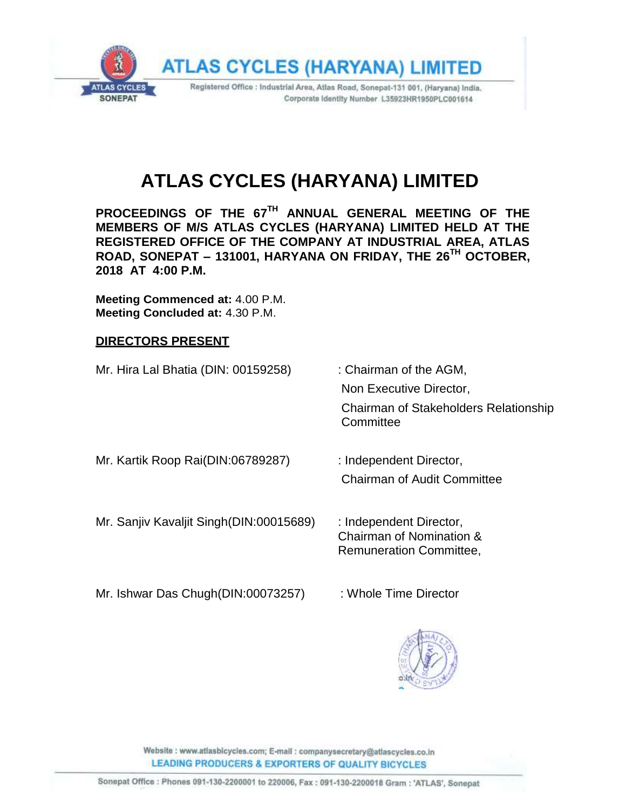

# **ATLAS CYCLES (HARYANA) LIMITED**

**PROCEEDINGS OF THE 67 TH ANNUAL GENERAL MEETING OF THE MEMBERS OF M/S ATLAS CYCLES (HARYANA) LIMITED HELD AT THE REGISTERED OFFICE OF THE COMPANY AT INDUSTRIAL AREA, ATLAS ROAD, SONEPAT – 131001, HARYANA ON FRIDAY, THE 26TH OCTOBER, 2018 AT 4:00 P.M.**

**Meeting Commenced at:** 4.00 P.M. **Meeting Concluded at:** 4.30 P.M.

#### **DIRECTORS PRESENT**

Mr. Hira Lal Bhatia (DIN: 00159258) : Chairman of the AGM, Non Executive Director, Chairman of Stakeholders Relationship **Committee** Mr. Kartik Roop Rai(DIN:06789287) : Independent Director, Chairman of Audit Committee

Mr. Sanjiv Kavaljit Singh(DIN:00015689) : Independent Director, Chairman of Nomination & Remuneration Committee,

Mr. Ishwar Das Chugh(DIN:00073257) : Whole Time Director

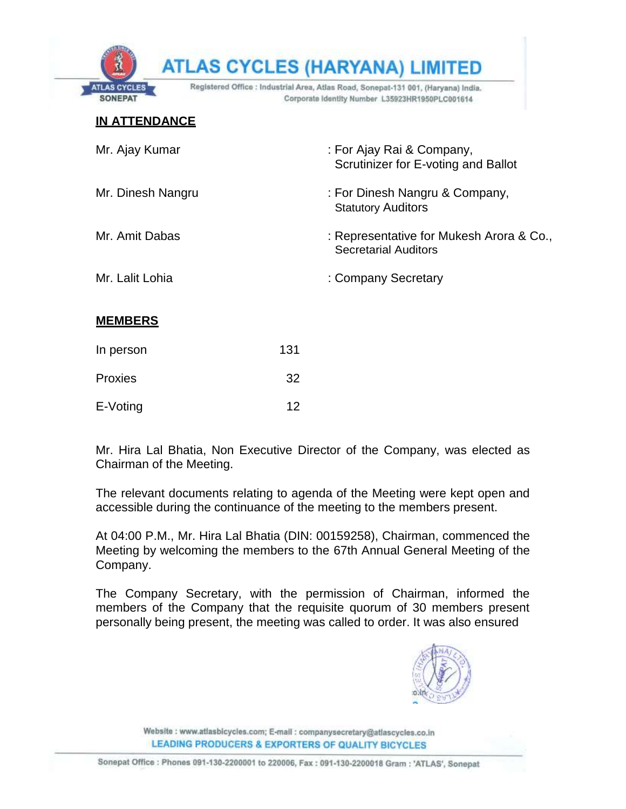|                                    |     | <b>ATLAS CYCLES (HARYANA) LIMITED</b>                                                                                                 |
|------------------------------------|-----|---------------------------------------------------------------------------------------------------------------------------------------|
| <b>AS CYCLES</b><br><b>SONEPAT</b> |     | Registered Office : Industrial Area, Atlas Road, Sonepat-131 001, (Haryana) India.<br>Corporate Identity Number L35923HR1950PLC001614 |
| <b>IN ATTENDANCE</b>               |     |                                                                                                                                       |
| Mr. Ajay Kumar                     |     | : For Ajay Rai & Company,<br>Scrutinizer for E-voting and Ballot                                                                      |
| Mr. Dinesh Nangru                  |     | : For Dinesh Nangru & Company,<br><b>Statutory Auditors</b>                                                                           |
| Mr. Amit Dabas                     |     | : Representative for Mukesh Arora & Co.,<br><b>Secretarial Auditors</b>                                                               |
| Mr. Lalit Lohia                    |     | : Company Secretary                                                                                                                   |
| <b>MEMBERS</b>                     |     |                                                                                                                                       |
| In person                          | 131 |                                                                                                                                       |
| Proxies                            | 32  |                                                                                                                                       |
| E-Voting                           | 12  |                                                                                                                                       |

Mr. Hira Lal Bhatia, Non Executive Director of the Company, was elected as Chairman of the Meeting.

The relevant documents relating to agenda of the Meeting were kept open and accessible during the continuance of the meeting to the members present.

At 04:00 P.M., Mr. Hira Lal Bhatia (DIN: 00159258), Chairman, commenced the Meeting by welcoming the members to the 67th Annual General Meeting of the Company.

The Company Secretary, with the permission of Chairman, informed the members of the Company that the requisite quorum of 30 members present personally being present, the meeting was called to order. It was also ensured

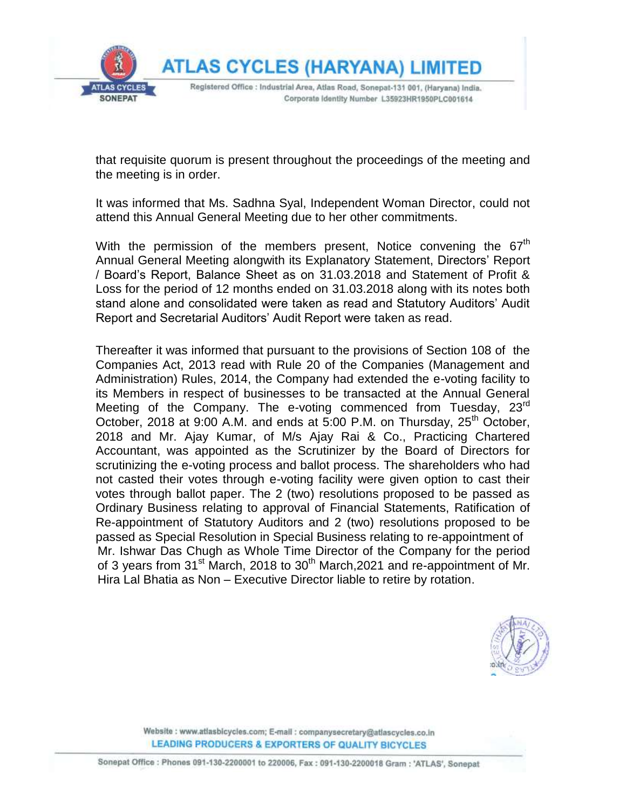

that requisite quorum is present throughout the proceedings of the meeting and the meeting is in order.

It was informed that Ms. Sadhna Syal, Independent Woman Director, could not attend this Annual General Meeting due to her other commitments.

With the permission of the members present, Notice convening the  $67<sup>th</sup>$ Annual General Meeting alongwith its Explanatory Statement, Directors' Report / Board's Report, Balance Sheet as on 31.03.2018 and Statement of Profit & Loss for the period of 12 months ended on 31.03.2018 along with its notes both stand alone and consolidated were taken as read and Statutory Auditors' Audit Report and Secretarial Auditors' Audit Report were taken as read.

Thereafter it was informed that pursuant to the provisions of Section 108 of the Companies Act, 2013 read with Rule 20 of the Companies (Management and Administration) Rules, 2014, the Company had extended the e-voting facility to its Members in respect of businesses to be transacted at the Annual General Meeting of the Company. The e-voting commenced from Tuesday, 23<sup>rd</sup> October, 2018 at 9:00 A.M. and ends at 5:00 P.M. on Thursday,  $25<sup>th</sup>$  October, 2018 and Mr. Ajay Kumar, of M/s Ajay Rai & Co., Practicing Chartered Accountant, was appointed as the Scrutinizer by the Board of Directors for scrutinizing the e-voting process and ballot process. The shareholders who had not casted their votes through e-voting facility were given option to cast their votes through ballot paper. The 2 (two) resolutions proposed to be passed as Ordinary Business relating to approval of Financial Statements, Ratification of Re-appointment of Statutory Auditors and 2 (two) resolutions proposed to be passed as Special Resolution in Special Business relating to re-appointment of Mr. Ishwar Das Chugh as Whole Time Director of the Company for the period of 3 years from 31<sup>st</sup> March, 2018 to 30<sup>th</sup> March, 2021 and re-appointment of Mr. Hira Lal Bhatia as Non – Executive Director liable to retire by rotation.

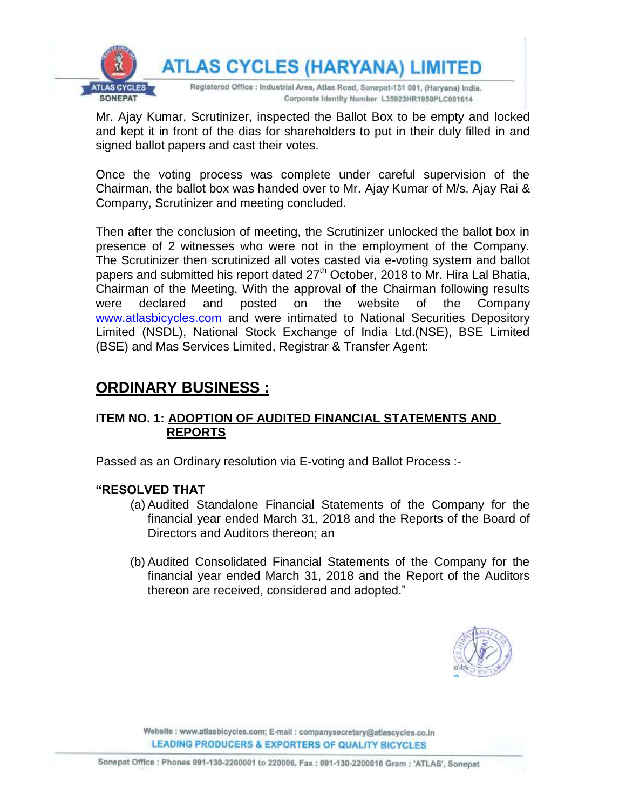

Mr. Ajay Kumar, Scrutinizer, inspected the Ballot Box to be empty and locked and kept it in front of the dias for shareholders to put in their duly filled in and signed ballot papers and cast their votes.

Once the voting process was complete under careful supervision of the Chairman, the ballot box was handed over to Mr. Ajay Kumar of M/s. Ajay Rai & Company, Scrutinizer and meeting concluded.

Then after the conclusion of meeting, the Scrutinizer unlocked the ballot box in presence of 2 witnesses who were not in the employment of the Company. The Scrutinizer then scrutinized all votes casted via e-voting system and ballot papers and submitted his report dated 27<sup>th</sup> October, 2018 to Mr. Hira Lal Bhatia, Chairman of the Meeting. With the approval of the Chairman following results were declared and posted on the website of the Company [www.atlasbicycles.com](http://www.atlasbicycles.com/) and were intimated to National Securities Depository Limited (NSDL), National Stock Exchange of India Ltd.(NSE), BSE Limited (BSE) and Mas Services Limited, Registrar & Transfer Agent:

# **ORDINARY BUSINESS :**

## **ITEM NO. 1: ADOPTION OF AUDITED FINANCIAL STATEMENTS AND REPORTS**

Passed as an Ordinary resolution via E-voting and Ballot Process :-

#### **"RESOLVED THAT**

- (a) Audited Standalone Financial Statements of the Company for the financial year ended March 31, 2018 and the Reports of the Board of Directors and Auditors thereon; an
- (b) Audited Consolidated Financial Statements of the Company for the financial year ended March 31, 2018 and the Report of the Auditors thereon are received, considered and adopted."

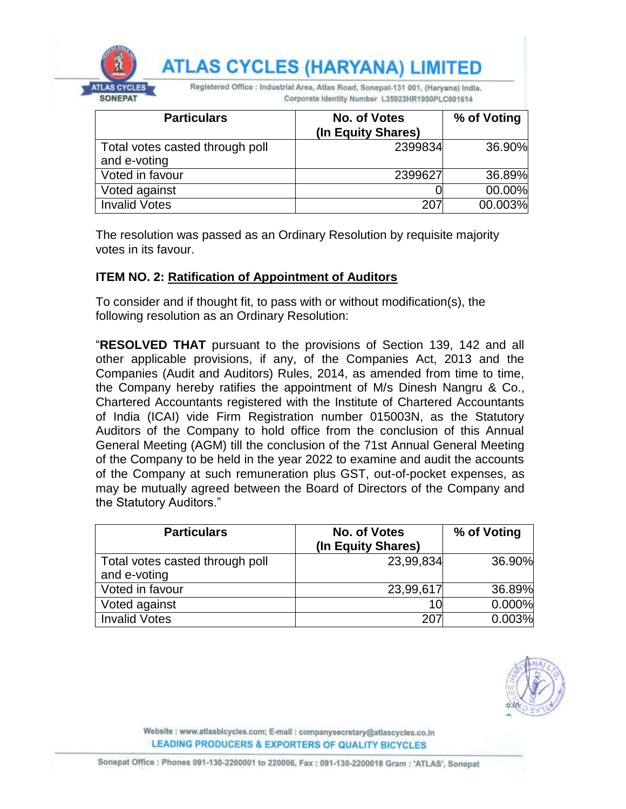|                                       |                                                                                                                                       | <b>ATLAS CYCLES (HARYANA) LIMITED</b> |             |  |
|---------------------------------------|---------------------------------------------------------------------------------------------------------------------------------------|---------------------------------------|-------------|--|
| <b>ITLAS CYCLES</b><br><b>SONEPAT</b> | Registered Office : Industrial Area, Atlas Road, Sonepat-131 001, (Haryana) India.<br>Corporate Identity Number L35923HR1950PLC001614 |                                       |             |  |
|                                       | <b>Particulars</b>                                                                                                                    | No. of Votes<br>(In Equity Shares)    | % of Voting |  |
| and e-voting                          | Total votes casted through poll                                                                                                       | 2399834                               | 36.90%      |  |
| Voted in favour                       |                                                                                                                                       | 2399627                               | 36.89%      |  |
| Voted against                         |                                                                                                                                       |                                       | 00.00%      |  |

The resolution was passed as an Ordinary Resolution by requisite majority votes in its favour.

Invalid Votes 207 00.003%

#### **ITEM NO. 2: Ratification of Appointment of Auditors**

To consider and if thought fit, to pass with or without modification(s), the following resolution as an Ordinary Resolution:

"**RESOLVED THAT** pursuant to the provisions of Section 139, 142 and all other applicable provisions, if any, of the Companies Act, 2013 and the Companies (Audit and Auditors) Rules, 2014, as amended from time to time, the Company hereby ratifies the appointment of M/s Dinesh Nangru & Co., Chartered Accountants registered with the Institute of Chartered Accountants of India (ICAI) vide Firm Registration number 015003N, as the Statutory Auditors of the Company to hold office from the conclusion of this Annual General Meeting (AGM) till the conclusion of the 71st Annual General Meeting of the Company to be held in the year 2022 to examine and audit the accounts of the Company at such remuneration plus GST, out-of-pocket expenses, as may be mutually agreed between the Board of Directors of the Company and the Statutory Auditors."

| <b>Particulars</b>                              | No. of Votes<br>(In Equity Shares) | % of Voting |
|-------------------------------------------------|------------------------------------|-------------|
| Total votes casted through poll<br>and e-voting | 23,99,834                          | 36.90%      |
| Voted in favour                                 | 23,99,617                          | 36.89%      |
| Voted against                                   | 10                                 | 0.000%      |
| <b>Invalid Votes</b>                            | 207                                | 0.003%      |

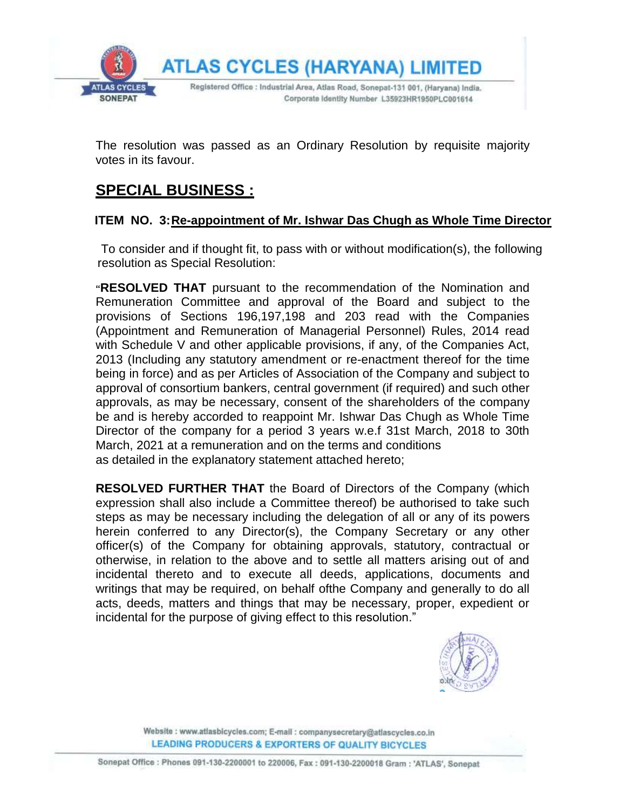

The resolution was passed as an Ordinary Resolution by requisite majority votes in its favour.

# **SPECIAL BUSINESS :**

### **ITEM NO. 3:Re-appointment of Mr. Ishwar Das Chugh as Whole Time Director**

To consider and if thought fit, to pass with or without modification(s), the following resolution as Special Resolution:

**"RESOLVED THAT** pursuant to the recommendation of the Nomination and Remuneration Committee and approval of the Board and subject to the provisions of Sections 196,197,198 and 203 read with the Companies (Appointment and Remuneration of Managerial Personnel) Rules, 2014 read with Schedule V and other applicable provisions, if any, of the Companies Act, 2013 (Including any statutory amendment or re-enactment thereof for the time being in force) and as per Articles of Association of the Company and subject to approval of consortium bankers, central government (if required) and such other approvals, as may be necessary, consent of the shareholders of the company be and is hereby accorded to reappoint Mr. Ishwar Das Chugh as Whole Time Director of the company for a period 3 years w.e.f 31st March, 2018 to 30th March, 2021 at a remuneration and on the terms and conditions as detailed in the explanatory statement attached hereto;

**RESOLVED FURTHER THAT** the Board of Directors of the Company (which expression shall also include a Committee thereof) be authorised to take such steps as may be necessary including the delegation of all or any of its powers herein conferred to any Director(s), the Company Secretary or any other officer(s) of the Company for obtaining approvals, statutory, contractual or otherwise, in relation to the above and to settle all matters arising out of and incidental thereto and to execute all deeds, applications, documents and writings that may be required, on behalf ofthe Company and generally to do all acts, deeds, matters and things that may be necessary, proper, expedient or incidental for the purpose of giving effect to this resolution."

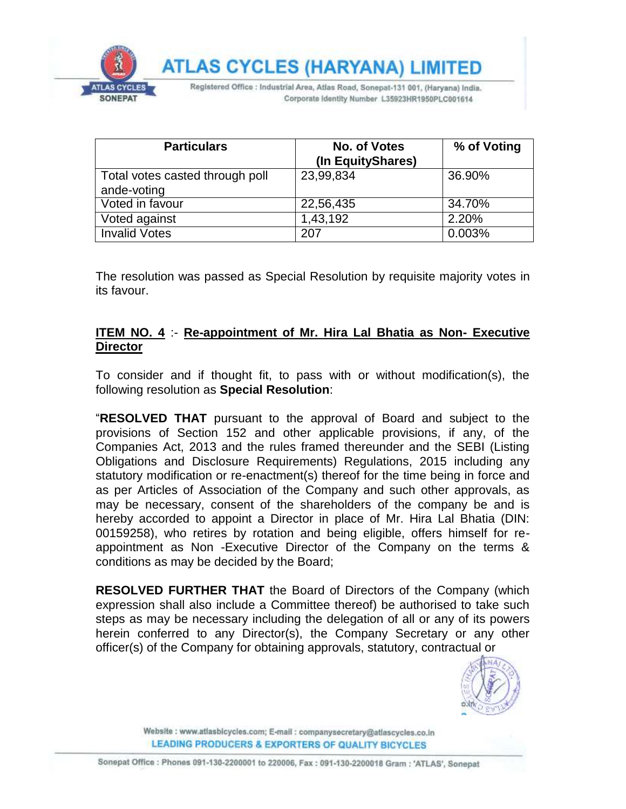

| <b>Particulars</b>              | No. of Votes      | % of Voting |
|---------------------------------|-------------------|-------------|
|                                 | (In EquityShares) |             |
| Total votes casted through poll | 23,99,834         | 36.90%      |
| ande-voting                     |                   |             |
| Voted in favour                 | 22,56,435         | 34.70%      |
| Voted against                   | 1,43,192          | 2.20%       |
| <b>Invalid Votes</b>            | 207               | 0.003%      |

The resolution was passed as Special Resolution by requisite majority votes in its favour.

#### **ITEM NO. 4** :- **Re-appointment of Mr. Hira Lal Bhatia as Non- Executive Director**

To consider and if thought fit, to pass with or without modification(s), the following resolution as **Special Resolution**:

"**RESOLVED THAT** pursuant to the approval of Board and subject to the provisions of Section 152 and other applicable provisions, if any, of the Companies Act, 2013 and the rules framed thereunder and the SEBI (Listing Obligations and Disclosure Requirements) Regulations, 2015 including any statutory modification or re-enactment(s) thereof for the time being in force and as per Articles of Association of the Company and such other approvals, as may be necessary, consent of the shareholders of the company be and is hereby accorded to appoint a Director in place of Mr. Hira Lal Bhatia (DIN: 00159258), who retires by rotation and being eligible, offers himself for reappointment as Non -Executive Director of the Company on the terms & conditions as may be decided by the Board;

**RESOLVED FURTHER THAT** the Board of Directors of the Company (which expression shall also include a Committee thereof) be authorised to take such steps as may be necessary including the delegation of all or any of its powers herein conferred to any Director(s), the Company Secretary or any other officer(s) of the Company for obtaining approvals, statutory, contractual or